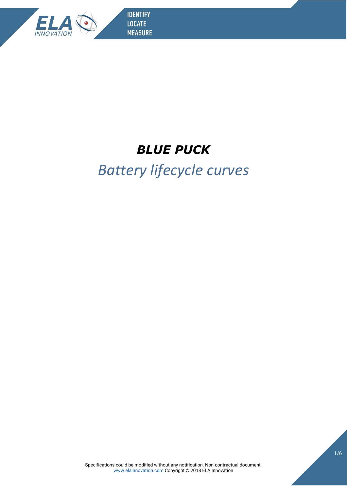

**IDENTIFY LOCATE MEASURE** 

## *BLUE PUCK*

## *Battery lifecycle curves*

Specifications could be modified without any notification. Non-contractual document. [www.e](http://www./)lainnovation.com Copyright © 2018 ELA Innovation

1/6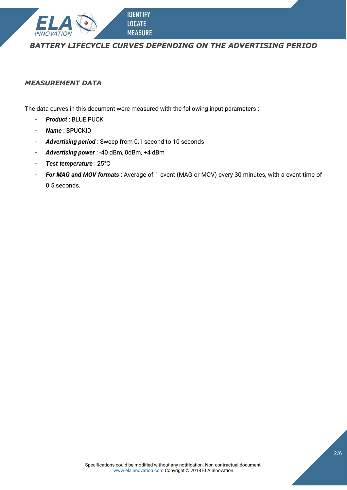

## *BATTERY LIFECYCLE CURVES DEPENDING ON THE ADVERTISING PERIOD*

## *MEASUREMENT DATA*

The data curves in this document were measured with the following input parameters :

**IDENTIFY LOCATE MEASURE** 

- *Product* : BLUE PUCK
- *Name* : BPUCKID
- *Advertising period* : Sweep from 0.1 second to 10 seconds
- *Advertising power* : -40 dBm, 0dBm, +4 dBm
- *Test temperature* : 25°C
- *For MAG and MOV formats* : Average of 1 event (MAG or MOV) every 30 minutes, with a event time of 0.5 seconds.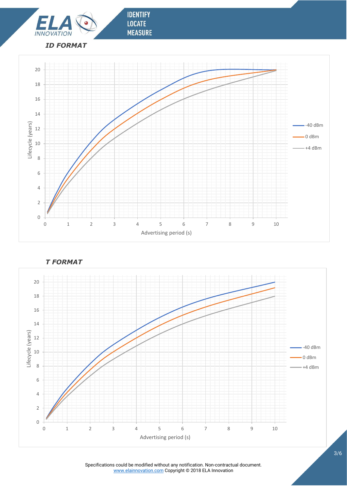



*T FORMAT*

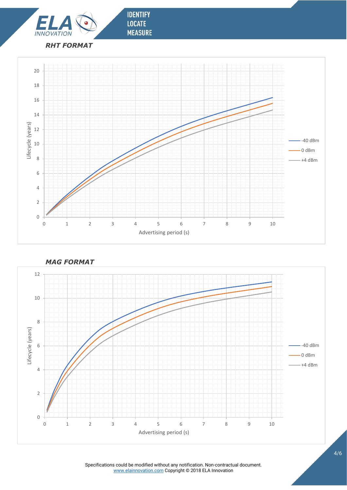



**IDENTIFY** 

**LOCATE MEASURE** 



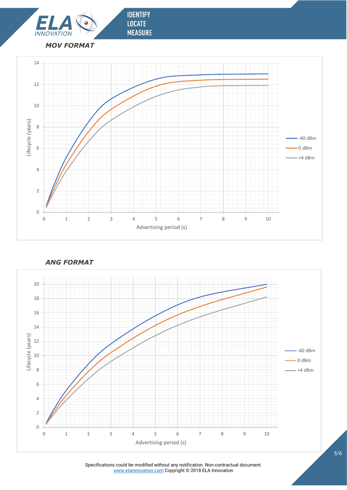



**IDENTIFY** 

**LOCATE MEASURE** 

*ANG FORMAT*